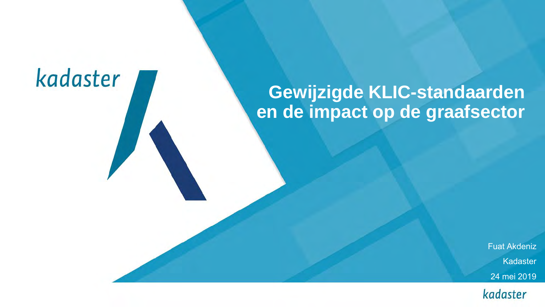### **Gewijzigde KLIC-standaarden en de impact op de graafsector**

Fuat Akdeniz Kadaster 24 mei 2019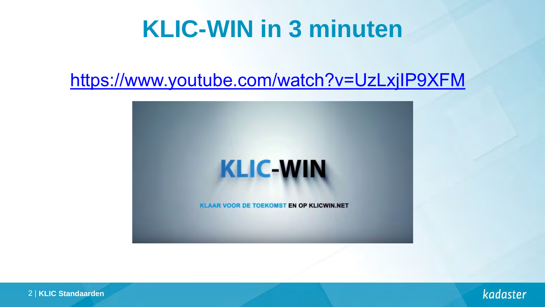### **KLIC-WIN in 3 minuten**

### <https://www.youtube.com/watch?v=UzLxjIP9XFM>





2 | **KLIC Standaarden**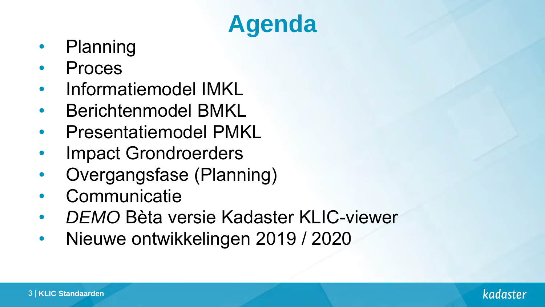# **Agenda**

- Planning
- Proces
- Informatiemodel IMKL
- Berichtenmodel BMKL
- Presentatiemodel PMKL
- Impact Grondroerders
- Overgangsfase (Planning)
- **Communicatie**
- *DEMO* Bèta versie Kadaster KLIC-viewer
- Nieuwe ontwikkelingen 2019 / 2020

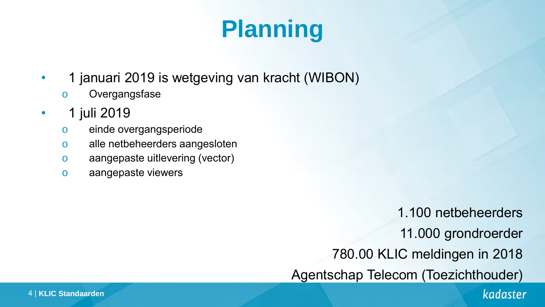# **Planning**

- 1 januari 2019 is wetgeving van kracht (WIBON)
	- o Overgangsfase
- 1 juli 2019
	- o einde overgangsperiode
	- o alle netbeheerders aangesloten
	- o aangepaste uitlevering (vector)
	- o aangepaste viewers

1.100 netbeheerders 11.000 grondroerder 780.00 KLIC meldingen in 2018 Agentschap Telecom (Toezichthouder)

#### 4 | **KLIC Standaarden**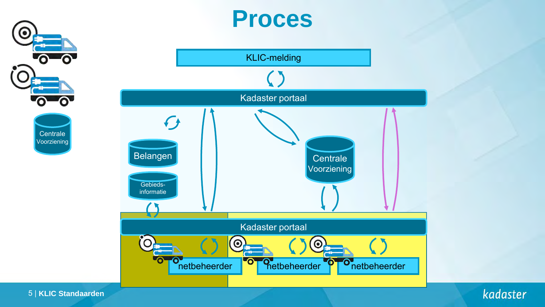### **Proces**



kadaster

О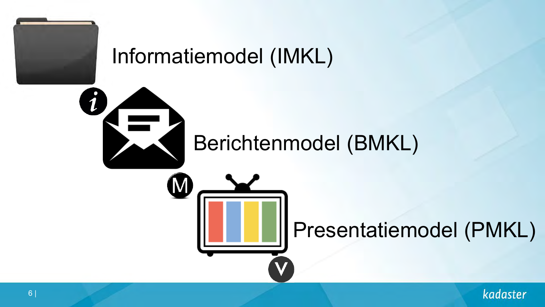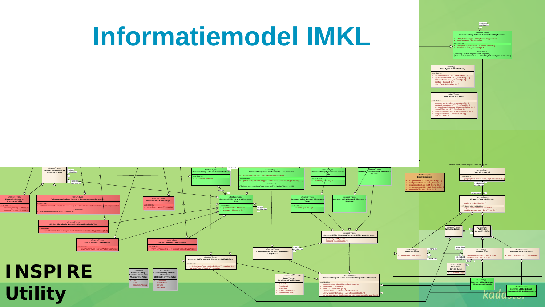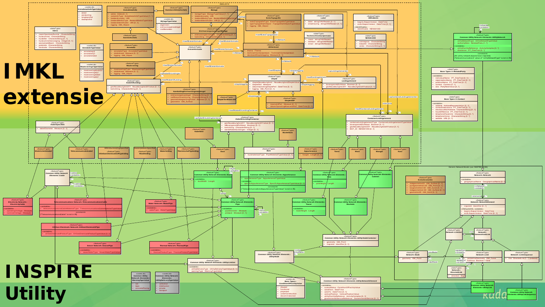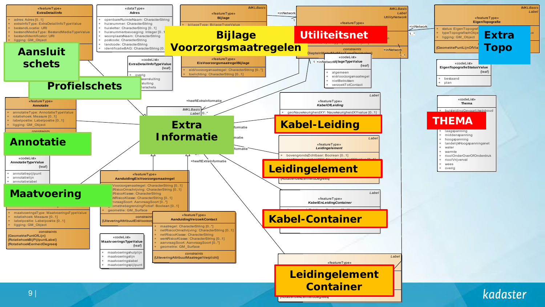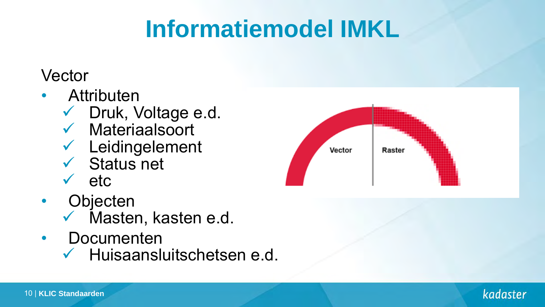# **Informatiemodel IMKL**

### **Vector**

- **Attributen** 
	- $\checkmark$  Druk, Voltage e.d.
	- $\checkmark$  Materiaalsoort
	- Leidingelement
	- $\checkmark$  Status net
	- $\sqrt{e}$  etc.
- Objecten
	- $\checkmark$  Masten, kasten e.d.
- Documenten
	- $\checkmark$  Huisaansluitschetsen e.d.



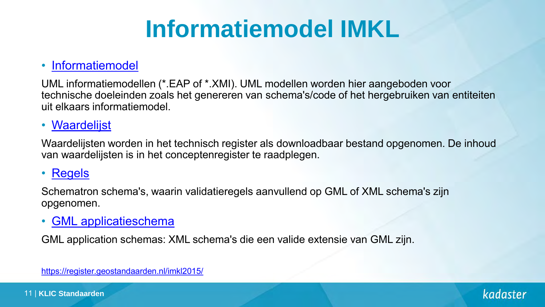# **Informatiemodel IMKL**

#### • [Informatiemodel](http://register.geostandaarden.nl/informatiemodel/imkl2015)

UML informatiemodellen (\*.EAP of \*.XMI). UML modellen worden hier aangeboden voor technische doeleinden zoals het genereren van schema's/code of het hergebruiken van entiteiten uit elkaars informatiemodel.

#### • [Waardelijst](http://register.geostandaarden.nl/waardelijst/imkl2015)

Waardelijsten worden in het technisch register als downloadbaar bestand opgenomen. De inhoud van waardelijsten is in het conceptenregister te raadplegen.

#### • [Regels](http://register.geostandaarden.nl/regels/imkl2015)

Schematron schema's, waarin validatieregels aanvullend op GML of XML schema's zijn opgenomen.

#### • [GML applicatieschema](http://register.geostandaarden.nl/gmlapplicatieschema/imkl2015)

GML application schemas: XML schema's die een valide extensie van GML zijn.

<https://register.geostandaarden.nl/imkl2015/>

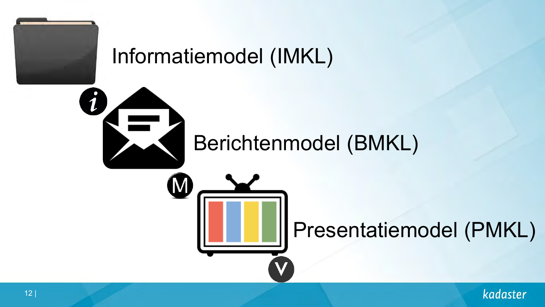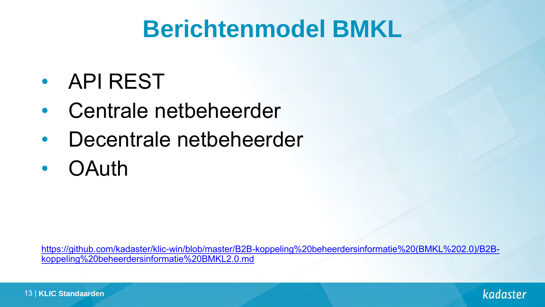## **Berichtenmodel BMKL**

- API REST
- Centrale netbeheerder
- Decentrale netbeheerder
- OAuth

[https://github.com/kadaster/klic-win/blob/master/B2B-koppeling%20beheerdersinformatie%20\(BMKL%202.0\)/B2B](https://github.com/kadaster/klic-win/blob/master/B2B-koppeling beheerdersinformatie (BMKL 2.0)/B2B-koppeling beheerdersinformatie BMKL2.0.md)koppeling%20beheerdersinformatie%20BMKL2.0.md

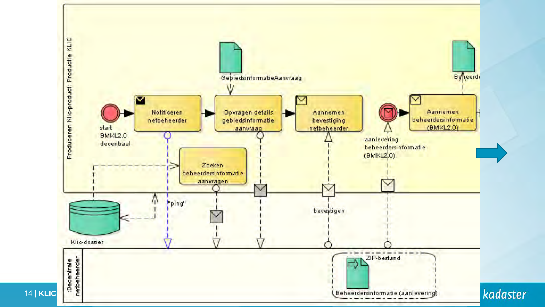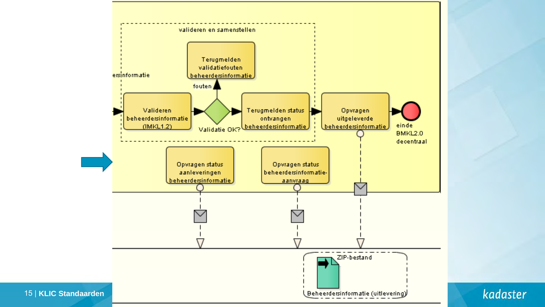

15 | **KLIC Standaarden**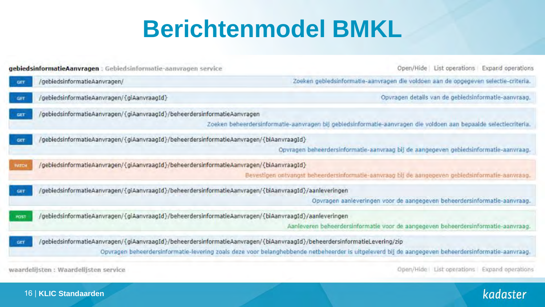## **Berichtenmodel BMKL**

| gebiedsinformatieAanvragen : Gebiedsinformatie-aanvragen service                                                                | Open/Hide<br>List operations Expand operations                                                                                                     |
|---------------------------------------------------------------------------------------------------------------------------------|----------------------------------------------------------------------------------------------------------------------------------------------------|
| /gebiedsinformatieAanvragen/<br>GET                                                                                             | Zoeken gebiedsinformatie-aanvragen die voldoen aan de opgegeven selectie-criteria.                                                                 |
| /gebiedsinformatieAanvragen/{giAanvraagId}<br>GET                                                                               | Opvragen details van de gebiedsinformatie-aanvraag.                                                                                                |
| /gebiedsinformatieAanvragen/{giAanvraagId}/beheerdersinformatieAanvragen<br><b>GET</b>                                          | Zoeken beheerdersinformatie-aanvragen bij gebiedsinformatie-aanvragen die voldoen aan bepaalde selectiecriteria.                                   |
| /gebiedsinformatieAanvragen/{giAanvraagId}/beheerdersinformatieAanvragen/{biAanvraagId}<br>GET                                  | Opvragen beheerdersinformatie-aanvraag bij de aangegeven gebiedsinformatie-aanvraag.                                                               |
| gebiedsinformatieAanvragen/{giAanvraagId}/beheerdersinformatieAanvragen/{biAanvraagId}<br>PATCH                                 | Bevestigen ontvangst beheerdersinformatie-aanvraag bij de aangegeven gebiedsinformatie-aanvraag.                                                   |
| /gebiedsinformatieAanvragen/{giAanvraagId}/beheerdersinformatieAanvragen/{biAanvraagId}/aanleveringen<br>GET                    | Opvragen aanleveringen voor de aangegeven beheerdersinformatie-aanvraag.                                                                           |
| gebiedsinformatieAanvragen/{giAanvraagId}/beheerdersinformatieAanvragen/{biAanvraagId}/aanleveringen/<br>POST                   | Aanleveren beheerdersinformatie voor de aangegeven beheerdersinformatie-aanvraag.                                                                  |
| /gebiedsinformatieAanvragen/{giAanvraagId}/beheerdersinformatieAanvragen/{biAanvraagId}/beheerdersinformatieLevering/zip<br>GET | Opvragen beheerdersinformatie-levering zoals deze voor belanghebbende netbeheerder is uitgeleverd bij de aangegeven beheerdersinformatie-aanvraag, |
| waardelijsten : Waardelijsten service                                                                                           | Open/Hide List operations Expand operations                                                                                                        |

#### 16 | **KLIC Standaarden**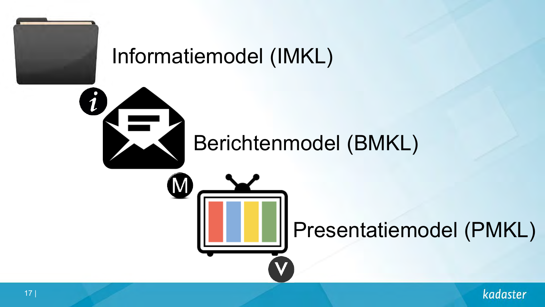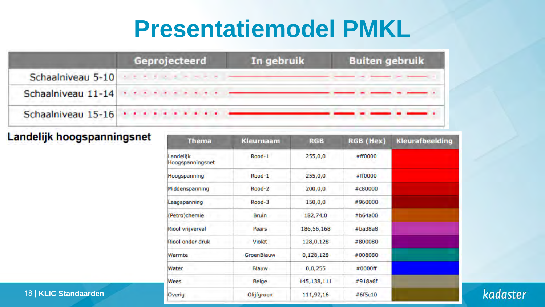### **Presentatiemodel PMKL**

|                    | Geprojecteerd                                                                                                                                                                                                                                                                                                                                                        | In gebruik | <b>Buiten gebruik</b> |
|--------------------|----------------------------------------------------------------------------------------------------------------------------------------------------------------------------------------------------------------------------------------------------------------------------------------------------------------------------------------------------------------------|------------|-----------------------|
| Schaalniveau 5-10  |                                                                                                                                                                                                                                                                                                                                                                      |            |                       |
| Schaalniveau 11-14 | $\mathcal{A}^{\mathcal{A}}_{\mathcal{A}}(\mathcal{A}^{\mathcal{A}}_{\mathcal{A}}(\mathcal{A}^{\mathcal{A}}_{\mathcal{A}}(\mathcal{A}^{\mathcal{A}}_{\mathcal{A}})^{\mathcal{A}})^{\mathcal{A}})^{\mathcal{A}}=\mathcal{A}^{\mathcal{A}}_{\mathcal{A}}(\mathcal{A}^{\mathcal{A}}_{\mathcal{A}}(\mathcal{A}^{\mathcal{A}}_{\mathcal{A}})^{\mathcal{A}})^{\mathcal{A}}$ |            |                       |
|                    |                                                                                                                                                                                                                                                                                                                                                                      |            |                       |

#### Landelijk hoogspanningsnet

| <b>Thema</b>                 | <b>Kleurnaam</b> | <b>RGB</b>  | RGB (Hex) | Kleurafbeelding |
|------------------------------|------------------|-------------|-----------|-----------------|
| andelijk<br>loogspanningsnet | Rood-1           | 255,0,0     | #ff0000   |                 |
| loogspanning                 | Rood-1           | 255,0,0     | #ff0000   |                 |
| Middenspanning               | Rood-2           | 200,0,0     | #c80000   |                 |
| aagspanning                  | Rood-3           | 150,0,0     | #960000   |                 |
| Petro)chemie                 | <b>Bruin</b>     | 182,74,0    | #b64a00   |                 |
| Riool vrijverval             | Paars            | 186,56,168  | #ba38a8   |                 |
| Riool onder druk             | <b>Violet</b>    | 128,0,128   | #800080   |                 |
| Narmte                       | GroenBlauw       | 0,128,128   | #008080   |                 |
| Nater                        | Blauw            | 0, 0, 255   | #0000ff   |                 |
| Nees                         | Beige            | 145,138,111 | #918a6f   |                 |
| Overig                       | Olijfgroen       | 111,92,16   | #6f5c10   |                 |

kadaster

#### 18 | **KLIC Standaarden**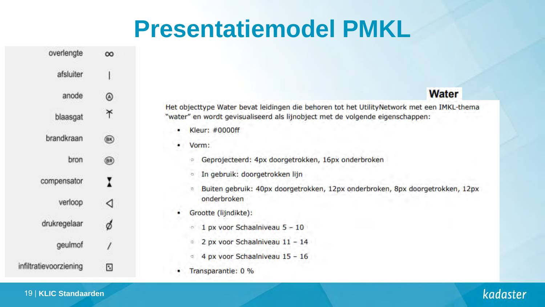### **Presentatiemodel PMKL**

| overlengte             | $\infty$ |
|------------------------|----------|
| afsluiter              | I        |
| anode                  | ◉        |
| blaasgat               | ቾ        |
| brandkraan             | (R)      |
| bron                   | ®        |
| compensator            | I        |
| verloop                | ◁        |
| drukregelaar           | ø        |
| geulmof                |          |
| infiltratievoorziening | D        |

Het objecttype Water bevat leidingen die behoren tot het UtilityNetwork met een IMKL-thema "water" en wordt gevisualiseerd als lijnobject met de volgende eigenschappen:

Kleur: #0000ff

Vorm:

Geprojecteerd: 4px doorgetrokken, 16px onderbroken o.

In gebruik: doorgetrokken lijn  $\sigma$ 

Buiten gebruik: 40px doorgetrokken, 12px onderbroken, 8px doorgetrokken, 12px b. onderbroken

Grootte (lijndikte):

1 px voor Schaalniveau 5 - 10

- 2 px voor Schaalniveau 11 14  $\approx$
- 4 px voor Schaalniveau 15 16 ø.
- Transparantie: 0 %

#### 19 | **KLIC Standaarden**

### kadaster

#### **Water**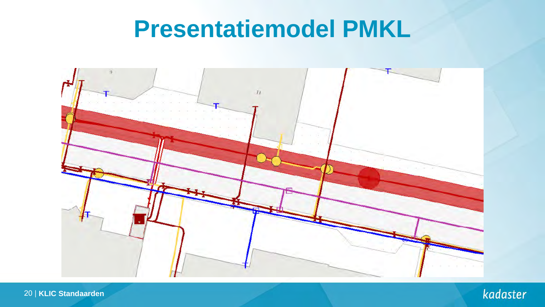## **Presentatiemodel PMKL**



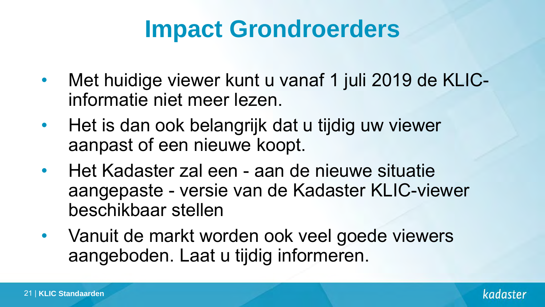## **Impact Grondroerders**

- Met huidige viewer kunt u vanaf 1 juli 2019 de KLICinformatie niet meer lezen.
- Het is dan ook belangrijk dat u tijdig uw viewer aanpast of een nieuwe koopt.
- Het Kadaster zal een aan de nieuwe situatie aangepaste - versie van de Kadaster KLIC-viewer beschikbaar stellen
- Vanuit de markt worden ook veel goede viewers aangeboden. Laat u tijdig informeren.

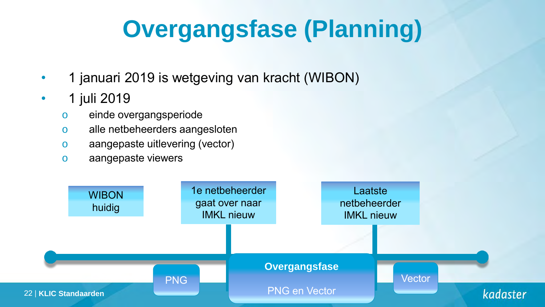# **Overgangsfase (Planning)**

- 1 januari 2019 is wetgeving van kracht (WIBON)
- 1 juli 2019
	- o einde overgangsperiode
	- o alle netbeheerders aangesloten
	- o aangepaste uitlevering (vector)
	- o aangepaste viewers

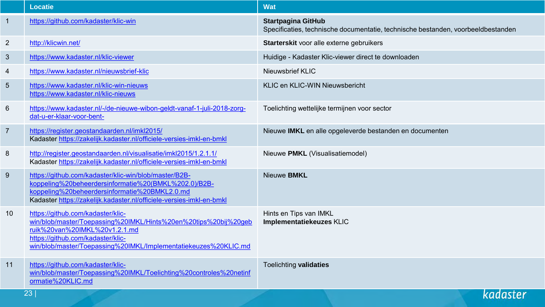|                | <b>Locatie</b>                                                                                                                                                                                                                                | <b>Wat</b>                                                                                                    |
|----------------|-----------------------------------------------------------------------------------------------------------------------------------------------------------------------------------------------------------------------------------------------|---------------------------------------------------------------------------------------------------------------|
| $\overline{1}$ | https://github.com/kadaster/klic-win                                                                                                                                                                                                          | <b>Startpagina GitHub</b><br>Specificaties, technische documentatie, technische bestanden, voorbeeldbestanden |
| $\overline{2}$ | http://klicwin.net/                                                                                                                                                                                                                           | Starterskit voor alle externe gebruikers                                                                      |
| $\mathfrak{S}$ | https://www.kadaster.nl/klic-viewer                                                                                                                                                                                                           | Huidige - Kadaster Klic-viewer direct te downloaden                                                           |
| 4              | https://www.kadaster.nl/nieuwsbrief-klic                                                                                                                                                                                                      | Nieuwsbrief KLIC                                                                                              |
| 5              | https://www.kadaster.nl/klic-win-nieuws<br>https://www.kadaster.nl/klic-nieuws                                                                                                                                                                | KLIC en KLIC-WIN Nieuwsbericht                                                                                |
| 6              | https://www.kadaster.nl/-/de-nieuwe-wibon-geldt-vanaf-1-juli-2018-zorg-<br>dat-u-er-klaar-voor-bent-                                                                                                                                          | Toelichting wettelijke termijnen voor sector                                                                  |
| $\overline{7}$ | https://register.geostandaarden.nl/imkl2015/<br>Kadaster https://zakelijk.kadaster.nl/officiele-versies-imkl-en-bmkl                                                                                                                          | Nieuwe IMKL en alle opgeleverde bestanden en documenten                                                       |
| 8              | http://register.geostandaarden.nl/visualisatie/imkl2015/1.2.1.1/<br>Kadaster https://zakelijk.kadaster.nl/officiele-versies-imkl-en-bmkl                                                                                                      | Nieuwe PMKL (Visualisatiemodel)                                                                               |
| 9              | https://github.com/kadaster/klic-win/blob/master/B2B-<br>koppeling%20beheerdersinformatie%20(BMKL%202.0)/B2B-<br>koppeling%20beheerdersinformatie%20BMKL2.0.md<br>Kadaster https://zakelijk.kadaster.nl/officiele-versies-imkl-en-bmkl        | Nieuwe BMKL                                                                                                   |
| 10             | https://github.com/kadaster/klic-<br>win/blob/master/Toepassing%20IMKL/Hints%20en%20tips%20bij%20geb<br>ruik%20van%20IMKL%20v1.2.1.md<br>https://github.com/kadaster/klic-<br>win/blob/master/Toepassing%20IMKL/Implementatiekeuzes%20KLIC.md | Hints en Tips van IMKL<br>Implementatiekeuzes KLIC                                                            |
| 11             | https://github.com/kadaster/klic-<br>win/blob/master/Toepassing%20IMKL/Toelichting%20controles%20netinf<br>ormatie%20KLIC.md                                                                                                                  | Toelichting validaties                                                                                        |
|                | 23                                                                                                                                                                                                                                            | kadaster                                                                                                      |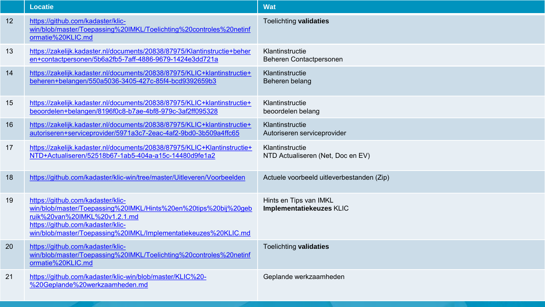|    | <b>Locatie</b>                                                                                                                                                                                                                                | <b>Wat</b>                                           |
|----|-----------------------------------------------------------------------------------------------------------------------------------------------------------------------------------------------------------------------------------------------|------------------------------------------------------|
| 12 | https://github.com/kadaster/klic-<br>win/blob/master/Toepassing%20IMKL/Toelichting%20controles%20netinf<br>ormatie%20KLIC.md                                                                                                                  | Toelichting validaties                               |
| 13 | https://zakelijk.kadaster.nl/documents/20838/87975/Klantinstructie+beher<br>en+contactpersonen/5b6a2fb5-7aff-4886-9679-1424e3dd721a                                                                                                           | Klantinstructie<br>Beheren Contactpersonen           |
| 14 | https://zakelijk.kadaster.nl/documents/20838/87975/KLIC+klantinstructie+<br>beheren+belangen/550a5036-3405-427c-85f4-bcd9392659b3                                                                                                             | Klantinstructie<br>Beheren belang                    |
| 15 | https://zakelijk.kadaster.nl/documents/20838/87975/KLIC+klantinstructie+<br>beoordelen+belangen/8196f0c8-b7ae-4bf8-979c-3af2ff095328                                                                                                          | Klantinstructie<br>beoordelen belang                 |
| 16 | https://zakelijk.kadaster.nl/documents/20838/87975/KLIC+klantinstructie+<br>autoriseren+serviceprovider/5971a3c7-2eac-4af2-9bd0-3b509a4ffc65                                                                                                  | Klantinstructie<br>Autoriseren serviceprovider       |
| 17 | https://zakelijk.kadaster.nl/documents/20838/87975/KLIC+Klantinstructie+<br>NTD+Actualiseren/52518b67-1ab5-404a-a15c-14480d9fe1a2                                                                                                             | Klantinstructie<br>NTD Actualiseren (Net, Doc en EV) |
| 18 | https://github.com/kadaster/klic-win/tree/master/Uitleveren/Voorbeelden                                                                                                                                                                       | Actuele voorbeeld uitleverbestanden (Zip)            |
| 19 | https://github.com/kadaster/klic-<br>win/blob/master/Toepassing%20IMKL/Hints%20en%20tips%20bij%20geb<br>ruik%20van%20IMKL%20v1.2.1.md<br>https://github.com/kadaster/klic-<br>win/blob/master/Toepassing%20IMKL/Implementatiekeuzes%20KLIC.md | Hints en Tips van IMKL<br>Implementatiekeuzes KLIC   |
| 20 | https://github.com/kadaster/klic-<br>win/blob/master/Toepassing%20IMKL/Toelichting%20controles%20netinf<br>ormatie%20KLIC.md                                                                                                                  | Toelichting validaties                               |
| 21 | https://github.com/kadaster/klic-win/blob/master/KLIC%20-<br>%20Geplande%20werkzaamheden.md                                                                                                                                                   | Geplande werkzaamheden                               |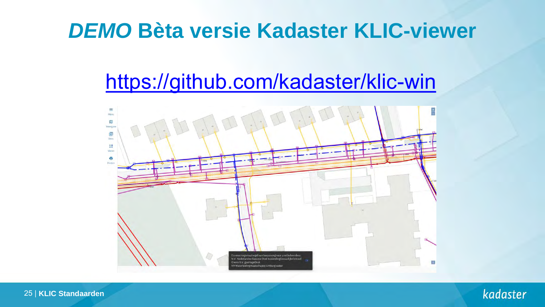### *DEMO* **Bèta versie Kadaster KLIC-viewer**

### <https://github.com/kadaster/klic-win>



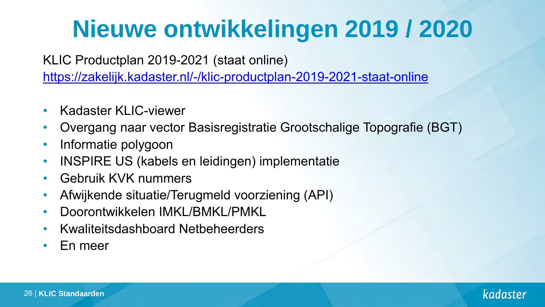# **Nieuwe ontwikkelingen 2019 / 2020**

KLIC Productplan 2019-2021 (staat online)

<https://zakelijk.kadaster.nl/-/klic-productplan-2019-2021-staat-online>

- Kadaster KLIC-viewer
- Overgang naar vector Basisregistratie Grootschalige Topografie (BGT)
- Informatie polygoon
- INSPIRE US (kabels en leidingen) implementatie
- Gebruik KVK nummers
- Afwijkende situatie/Terugmeld voorziening (API)
- Doorontwikkelen IMKL/BMKL/PMKL
- Kwaliteitsdashboard Netbeheerders
- En meer

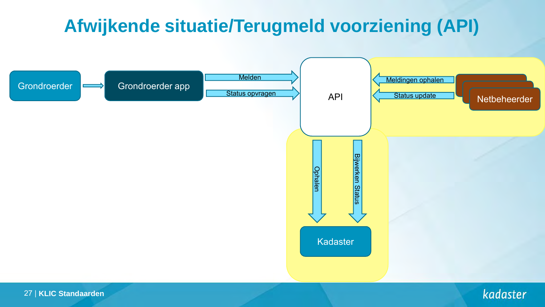### **Afwijkende situatie/Terugmeld voorziening (API)**